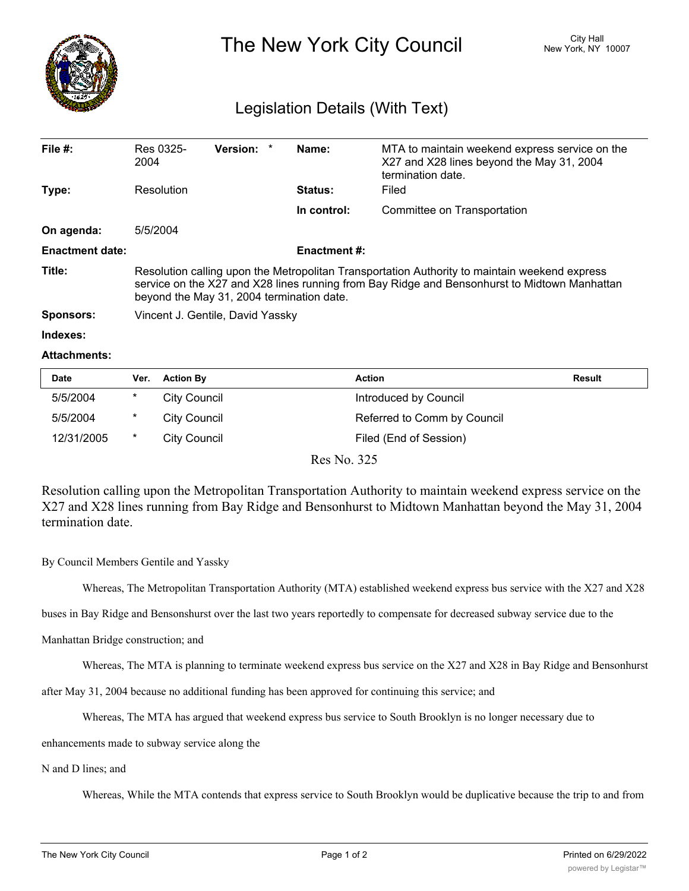

The New York City Council New York, NY 10007

## Legislation Details (With Text)

| File $#$ :             | Res 0325-<br>2004                                                                                                                                                                                                                          | Version: * |  | Name:          | MTA to maintain weekend express service on the<br>X27 and X28 lines beyond the May 31, 2004 |  |  |
|------------------------|--------------------------------------------------------------------------------------------------------------------------------------------------------------------------------------------------------------------------------------------|------------|--|----------------|---------------------------------------------------------------------------------------------|--|--|
|                        |                                                                                                                                                                                                                                            |            |  |                | termination date.                                                                           |  |  |
| Type:                  | Resolution                                                                                                                                                                                                                                 |            |  | <b>Status:</b> | Filed                                                                                       |  |  |
|                        |                                                                                                                                                                                                                                            |            |  | In control:    | Committee on Transportation                                                                 |  |  |
| On agenda:             | 5/5/2004                                                                                                                                                                                                                                   |            |  |                |                                                                                             |  |  |
| <b>Enactment date:</b> | <b>Enactment #:</b>                                                                                                                                                                                                                        |            |  |                |                                                                                             |  |  |
| Title:                 | Resolution calling upon the Metropolitan Transportation Authority to maintain weekend express<br>service on the X27 and X28 lines running from Bay Ridge and Bensonhurst to Midtown Manhattan<br>beyond the May 31, 2004 termination date. |            |  |                |                                                                                             |  |  |
| <b>Sponsors:</b>       | Vincent J. Gentile, David Yassky                                                                                                                                                                                                           |            |  |                |                                                                                             |  |  |
| Indexes:               |                                                                                                                                                                                                                                            |            |  |                |                                                                                             |  |  |

## **Attachments:**

| <b>Date</b> | Ver.   | <b>Action By</b> | <b>Action</b>               | Result |
|-------------|--------|------------------|-----------------------------|--------|
| 5/5/2004    | $\ast$ | City Council     | Introduced by Council       |        |
| 5/5/2004    | $\ast$ | City Council     | Referred to Comm by Council |        |
| 12/31/2005  | $\ast$ | City Council     | Filed (End of Session)      |        |

Res No. 325

Resolution calling upon the Metropolitan Transportation Authority to maintain weekend express service on the X27 and X28 lines running from Bay Ridge and Bensonhurst to Midtown Manhattan beyond the May 31, 2004 termination date.

By Council Members Gentile and Yassky

Whereas, The Metropolitan Transportation Authority (MTA) established weekend express bus service with the X27 and X28

buses in Bay Ridge and Bensonshurst over the last two years reportedly to compensate for decreased subway service due to the

## Manhattan Bridge construction; and

Whereas, The MTA is planning to terminate weekend express bus service on the X27 and X28 in Bay Ridge and Bensonhurst

after May 31, 2004 because no additional funding has been approved for continuing this service; and

Whereas, The MTA has argued that weekend express bus service to South Brooklyn is no longer necessary due to

enhancements made to subway service along the

N and D lines; and

Whereas, While the MTA contends that express service to South Brooklyn would be duplicative because the trip to and from